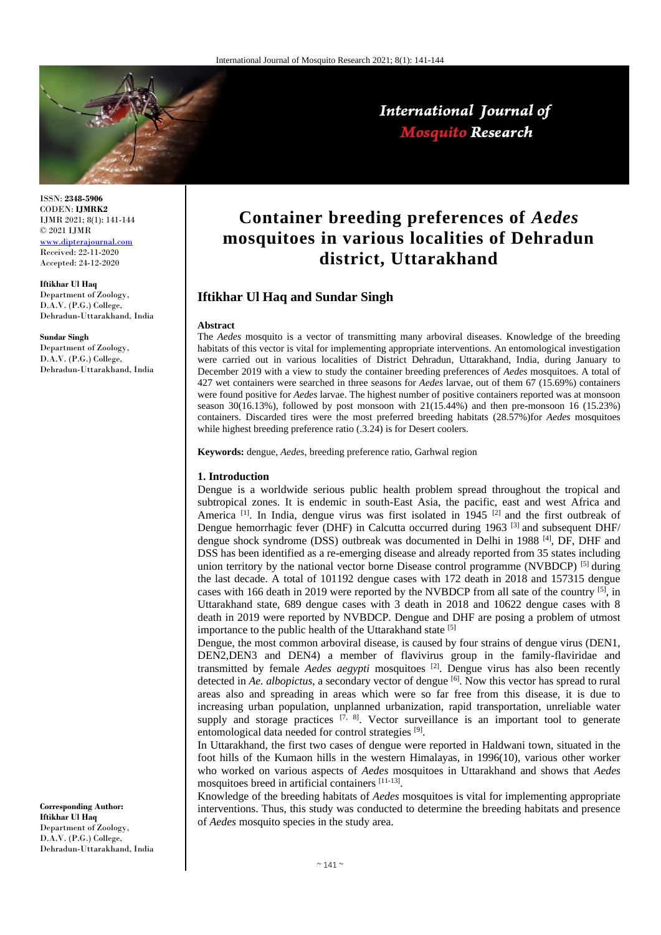

International Journal of **Mosquito Research** 

ISSN: **2348-5906** CODEN: **IJMRK2** IJMR 2021; 8(1): 141-144 © 2021 IJMR <www.dipterajournal.com>

Received: 22-11-2020 Accepted: 24-12-2020

**Iftikhar Ul Haq** Department of Zoology, D.A.V. (P.G.) College, Dehradun-Uttarakhand, India

**Sundar Singh** Department of Zoology, D.A.V. (P.G.) College, Dehradun-Uttarakhand, India

**Corresponding Author: Iftikhar Ul Haq**  Department of Zoology, D.A.V. (P.G.) College, Dehradun-Uttarakhand, India

# **Container breeding preferences of** *Aedes* **mosquitoes in various localities of Dehradun district, Uttarakhand**

## **Iftikhar Ul Haq and Sundar Singh**

#### **Abstract**

The *Aedes* mosquito is a vector of transmitting many arboviral diseases. Knowledge of the breeding habitats of this vector is vital for implementing appropriate interventions. An entomological investigation were carried out in various localities of District Dehradun, Uttarakhand, India, during January to December 2019 with a view to study the container breeding preferences of *Aedes* mosquitoes. A total of 427 wet containers were searched in three seasons for *Aedes* larvae, out of them 67 (15.69%) containers were found positive for *Aedes* larvae. The highest number of positive containers reported was at monsoon season 30(16.13%), followed by post monsoon with 21(15.44%) and then pre-monsoon 16 (15.23%) containers. Discarded tires were the most preferred breeding habitats (28.57%)for *Aedes* mosquitoes while highest breeding preference ratio (.3.24) is for Desert coolers.

**Keywords:** dengue, *Aedes*, breeding preference ratio, Garhwal region

#### **1. Introduction**

Dengue is a worldwide serious public health problem spread throughout the tropical and subtropical zones. It is endemic in south-East Asia, the pacific, east and west Africa and America  $^{[1]}$ . In India, dengue virus was first isolated in 1945  $^{[2]}$  and the first outbreak of Dengue hemorrhagic fever (DHF) in Calcutta occurred during 1963<sup>[3]</sup> and subsequent DHF/ dengue shock syndrome (DSS) outbreak was documented in Delhi in 1988<sup>[4]</sup>, DF, DHF and DSS has been identified as a re-emerging disease and already reported from 35 states including union territory by the national vector borne Disease control programme (NVBDCP) [5] during the last decade. A total of 101192 dengue cases with 172 death in 2018 and 157315 dengue cases with 166 death in 2019 were reported by the NVBDCP from all sate of the country  $[5]$ , in Uttarakhand state, 689 dengue cases with 3 death in 2018 and 10622 dengue cases with 8 death in 2019 were reported by NVBDCP. Dengue and DHF are posing a problem of utmost importance to the public health of the Uttarakhand state [5]

Dengue, the most common arboviral disease, is caused by four strains of dengue virus (DEN1, DEN2,DEN3 and DEN4) a member of flavivirus group in the family-flaviridae and transmitted by female *Aedes aegypti* mosquitoes [2]. Dengue virus has also been recently detected in *Ae. albopictus*, a secondary vector of dengue <sup>[6]</sup>. Now this vector has spread to rural areas also and spreading in areas which were so far free from this disease, it is due to increasing urban population, unplanned urbanization, rapid transportation, unreliable water supply and storage practices  $[7, 8]$ . Vector surveillance is an important tool to generate entomological data needed for control strategies [9].

In Uttarakhand, the first two cases of dengue were reported in Haldwani town, situated in the foot hills of the Kumaon hills in the western Himalayas, in 1996(10), various other worker who worked on various aspects of *Aedes* mosquitoes in Uttarakhand and shows that *Aedes* mosquitoes breed in artificial containers [11-13].

Knowledge of the breeding habitats of *Aedes* mosquitoes is vital for implementing appropriate interventions. Thus, this study was conducted to determine the breeding habitats and presence of *Aedes* mosquito species in the study area.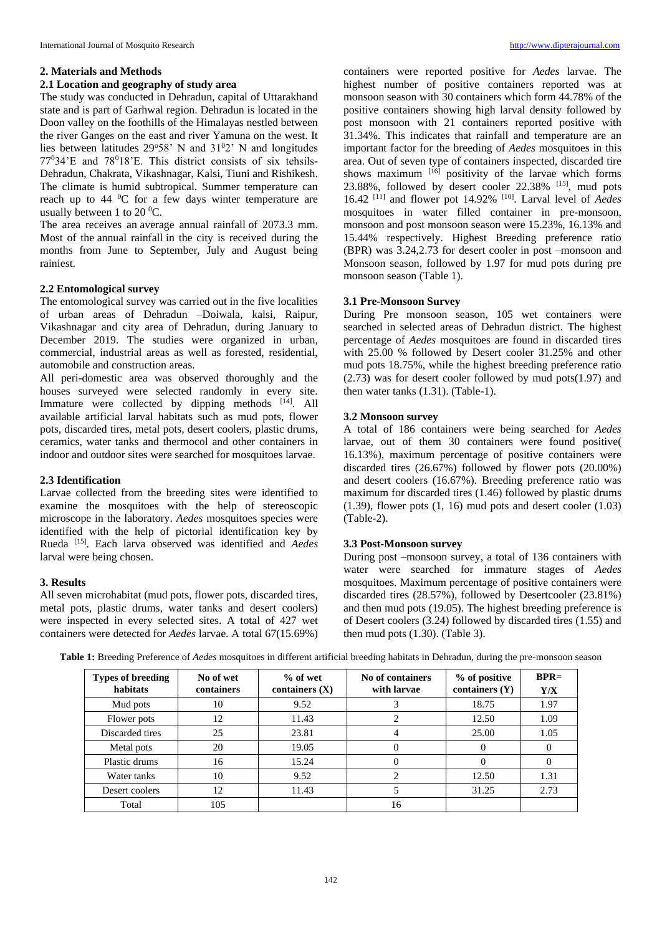#### **2. Materials and Methods**

#### **2.1 Location and geography of study area**

The study was conducted in Dehradun, capital of Uttarakhand state and is part of Garhwal region. Dehradun is located in the Doon valley on the foothills of the Himalayas nestled between the river Ganges on the east and river Yamuna on the west. It lies between latitudes  $29^{\circ}58'$  N and  $31^{\circ}2'$  N and longitudes 77034'E and 78018'E. This district consists of six tehsils-Dehradun, Chakrata, Vikashnagar, Kalsi, Tiuni and Rishikesh. The climate is humid subtropical. Summer temperature can reach up to  $44 \degree$ C for a few days winter temperature are usually between 1 to 20 $\mathrm{^0C}$ .

The area receives an average annual rainfall of 2073.3 mm. Most of the annual rainfall in the city is received during the months from June to September, July and August being rainiest.

#### **2.2 Entomological survey**

The entomological survey was carried out in the five localities of urban areas of Dehradun –Doiwala, kalsi, Raipur, Vikashnagar and city area of Dehradun, during January to December 2019. The studies were organized in urban, commercial, industrial areas as well as forested, residential, automobile and construction areas.

All peri-domestic area was observed thoroughly and the houses surveyed were selected randomly in every site. Immature were collected by dipping methods [14]. All available artificial larval habitats such as mud pots, flower pots, discarded tires, metal pots, desert coolers, plastic drums, ceramics, water tanks and thermocol and other containers in indoor and outdoor sites were searched for mosquitoes larvae.

### **2.3 Identification**

Larvae collected from the breeding sites were identified to examine the mosquitoes with the help of stereoscopic microscope in the laboratory. *Aedes* mosquitoes species were identified with the help of pictorial identification key by Rueda [15]. Each larva observed was identified and *Aedes*  larval were being chosen.

#### **3. Results**

All seven microhabitat (mud pots, flower pots, discarded tires, metal pots, plastic drums, water tanks and desert coolers) were inspected in every selected sites. A total of 427 wet containers were detected for *Aedes* larvae. A total 67(15.69%) containers were reported positive for *Aedes* larvae. The highest number of positive containers reported was at monsoon season with 30 containers which form 44.78% of the positive containers showing high larval density followed by post monsoon with 21 containers reported positive with 31.34%. This indicates that rainfall and temperature are an important factor for the breeding of *Aedes* mosquitoes in this area. Out of seven type of containers inspected, discarded tire shows maximum  $[16]$  positivity of the larvae which forms  $23.88\%$ , followed by desert cooler  $22.38\%$  <sup>[15]</sup>, mud pots 16.42 [11] and flower pot 14.92% [10] . Larval level of *Aedes* mosquitoes in water filled container in pre-monsoon, monsoon and post monsoon season were 15.23%, 16.13% and 15.44% respectively. Highest Breeding preference ratio (BPR) was 3.24,2.73 for desert cooler in post –monsoon and Monsoon season, followed by 1.97 for mud pots during pre monsoon season (Table 1).

#### **3.1 Pre-Monsoon Survey**

During Pre monsoon season, 105 wet containers were searched in selected areas of Dehradun district. The highest percentage of *Aedes* mosquitoes are found in discarded tires with 25.00 % followed by Desert cooler 31.25% and other mud pots 18.75%, while the highest breeding preference ratio (2.73) was for desert cooler followed by mud pots(1.97) and then water tanks (1.31). (Table-1).

#### **3.2 Monsoon survey**

A total of 186 containers were being searched for *Aedes* larvae, out of them 30 containers were found positive( 16.13%), maximum percentage of positive containers were discarded tires (26.67%) followed by flower pots (20.00%) and desert coolers (16.67%). Breeding preference ratio was maximum for discarded tires (1.46) followed by plastic drums  $(1.39)$ , flower pots  $(1, 16)$  mud pots and desert cooler  $(1.03)$ (Table-2).

#### **3.3 Post-Monsoon survey**

During post –monsoon survey, a total of 136 containers with water were searched for immature stages of *Aedes* mosquitoes. Maximum percentage of positive containers were discarded tires (28.57%), followed by Desertcooler (23.81%) and then mud pots (19.05). The highest breeding preference is of Desert coolers (3.24) followed by discarded tires (1.55) and then mud pots (1.30). (Table 3).

| <b>Types of breeding</b><br>habitats | No of wet<br>containers | $%$ of wet<br>containers $(X)$ | No of containers<br>with larvae | % of positive<br>containers $(Y)$ | $BPR=$<br>Y/X |
|--------------------------------------|-------------------------|--------------------------------|---------------------------------|-----------------------------------|---------------|
| Mud pots                             | 10                      | 9.52                           |                                 | 18.75                             | 1.97          |
| Flower pots                          | 12                      | 11.43                          |                                 | 12.50                             | 1.09          |
| Discarded tires                      | 25                      | 23.81                          |                                 | 25.00                             | 1.05          |
| Metal pots                           | 20                      | 19.05                          |                                 | $\theta$                          |               |
| Plastic drums                        | 16                      | 15.24                          |                                 | 0                                 |               |
| Water tanks                          | 10                      | 9.52                           |                                 | 12.50                             | 1.31          |
| Desert coolers                       | 12                      | 11.43                          |                                 | 31.25                             | 2.73          |
| Total                                | 105                     |                                | 16                              |                                   |               |

**Table 1:** Breeding Preference of *Aedes* mosquitoes in different artificial breeding habitats in Dehradun, during the pre-monsoon season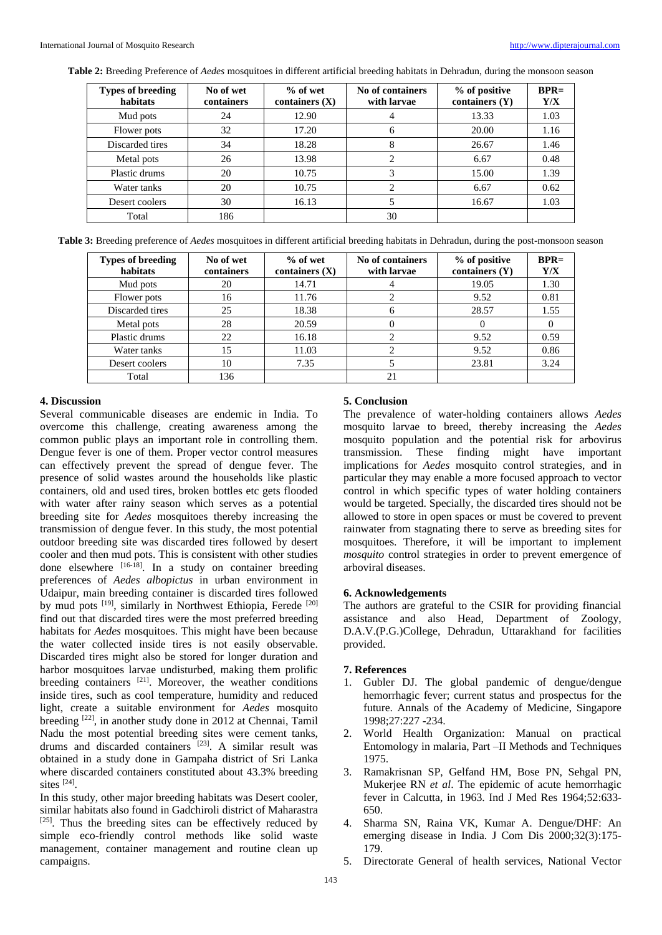**Table 2:** Breeding Preference of *Aedes* mosquitoes in different artificial breeding habitats in Dehradun, during the monsoon season

| <b>Types of breeding</b><br>habitats | No of wet<br>containers | $%$ of wet<br>containers $(X)$ | No of containers<br>with larvae | % of positive<br>containers $(Y)$ | $BPR=$<br>Y/X |
|--------------------------------------|-------------------------|--------------------------------|---------------------------------|-----------------------------------|---------------|
| Mud pots                             | 24                      | 12.90                          | 4                               | 13.33                             | 1.03          |
| Flower pots                          | 32                      | 17.20                          | 6                               | 20.00                             | 1.16          |
| Discarded tires                      | 34                      | 18.28                          | 8                               | 26.67                             | 1.46          |
| Metal pots                           | 26                      | 13.98                          | 2                               | 6.67                              | 0.48          |
| Plastic drums                        | 20                      | 10.75                          | 3                               | 15.00                             | 1.39          |
| Water tanks                          | 20                      | 10.75                          | $\overline{c}$                  | 6.67                              | 0.62          |
| Desert coolers                       | 30                      | 16.13                          |                                 | 16.67                             | 1.03          |
| Total                                | 186                     |                                | 30                              |                                   |               |

**Table 3:** Breeding preference of *Aedes* mosquitoes in different artificial breeding habitats in Dehradun, during the post-monsoon season

| <b>Types of breeding</b><br>habitats | No of wet<br>containers | $%$ of wet<br>containers $(X)$ | No of containers<br>with larvae | % of positive<br>containers $(Y)$ | $RPR=$<br>Y/X |
|--------------------------------------|-------------------------|--------------------------------|---------------------------------|-----------------------------------|---------------|
| Mud pots                             | 20                      | 14.71                          |                                 | 19.05                             | 1.30          |
| Flower pots                          | 16                      | 11.76                          |                                 | 9.52                              | 0.81          |
| Discarded tires                      | 25                      | 18.38                          | 6                               | 28.57                             | 1.55          |
| Metal pots                           | 28                      | 20.59                          | 0                               | $\theta$                          |               |
| Plastic drums                        | 22                      | 16.18                          |                                 | 9.52                              | 0.59          |
| Water tanks                          | 15                      | 11.03                          |                                 | 9.52                              | 0.86          |
| Desert coolers                       | 10                      | 7.35                           |                                 | 23.81                             | 3.24          |
| Total                                | 136                     |                                | 21                              |                                   |               |

#### **4. Discussion**

Several communicable diseases are endemic in India. To overcome this challenge, creating awareness among the common public plays an important role in controlling them. Dengue fever is one of them. Proper vector control measures can effectively prevent the spread of dengue fever. The presence of solid wastes around the households like plastic containers, old and used tires, broken bottles etc gets flooded with water after rainy season which serves as a potential breeding site for *Aedes* mosquitoes thereby increasing the transmission of dengue fever. In this study, the most potential outdoor breeding site was discarded tires followed by desert cooler and then mud pots. This is consistent with other studies done elsewhere [16-18]. In a study on container breeding preferences of *Aedes albopictus* in urban environment in Udaipur, main breeding container is discarded tires followed by mud pots <sup>[19]</sup>, similarly in Northwest Ethiopia, Ferede <sup>[20]</sup> find out that discarded tires were the most preferred breeding habitats for *Aedes* mosquitoes. This might have been because the water collected inside tires is not easily observable. Discarded tires might also be stored for longer duration and harbor mosquitoes larvae undisturbed, making them prolific breeding containers  $[21]$ . Moreover, the weather conditions inside tires, such as cool temperature, humidity and reduced light, create a suitable environment for *Aedes* mosquito breeding [22], in another study done in 2012 at Chennai, Tamil Nadu the most potential breeding sites were cement tanks, drums and discarded containers [23]. A similar result was obtained in a study done in Gampaha district of Sri Lanka where discarded containers constituted about 43.3% breeding sites [24].

In this study, other major breeding habitats was Desert cooler, similar habitats also found in Gadchiroli district of Maharastra  $[25]$ . Thus the breeding sites can be effectively reduced by simple eco-friendly control methods like solid waste management, container management and routine clean up campaigns.

#### **5. Conclusion**

The prevalence of water-holding containers allows *Aedes* mosquito larvae to breed, thereby increasing the *Aedes* mosquito population and the potential risk for arbovirus transmission. These finding might have important implications for *Aedes* mosquito control strategies, and in particular they may enable a more focused approach to vector control in which specific types of water holding containers would be targeted. Specially, the discarded tires should not be allowed to store in open spaces or must be covered to prevent rainwater from stagnating there to serve as breeding sites for mosquitoes. Therefore, it will be important to implement *mosquito* control strategies in order to prevent emergence of arboviral diseases.

#### **6. Acknowledgements**

The authors are grateful to the CSIR for providing financial assistance and also Head, Department of Zoology, D.A.V.(P.G.)College, Dehradun, Uttarakhand for facilities provided.

#### **7. References**

- 1. Gubler DJ. The global pandemic of dengue/dengue hemorrhagic fever; current status and prospectus for the future. Annals of the Academy of Medicine, Singapore 1998;27:227 -234.
- 2. World Health Organization: Manual on practical Entomology in malaria, Part –II Methods and Techniques 1975.
- 3. Ramakrisnan SP, Gelfand HM, Bose PN, Sehgal PN, Mukerjee RN *et al*. The epidemic of acute hemorrhagic fever in Calcutta, in 1963. Ind J Med Res 1964;52:633- 650.
- 4. Sharma SN, Raina VK, Kumar A. Dengue/DHF: An emerging disease in India. J Com Dis 2000;32(3):175- 179.
- 5. Directorate General of health services, National Vector